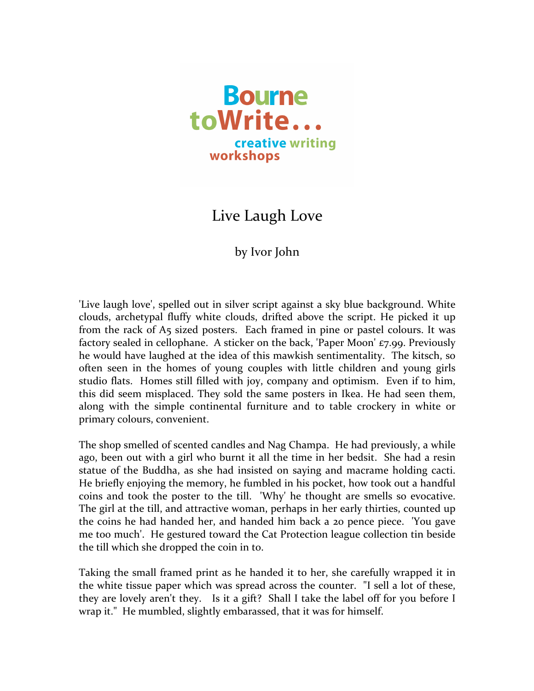

## Live Laugh Love

## by Ivor John

'Live laugh love', spelled out in silver script against a sky blue background. White clouds, archetypal fluffy white clouds, drifted above the script. He picked it up from the rack of A5 sized posters. Each framed in pine or pastel colours. It was factory sealed in cellophane. A sticker on the back, 'Paper Moon'  $\epsilon$ 7.99. Previously he would have laughed at the idea of this mawkish sentimentality. The kitsch, so often seen in the homes of young couples with little children and young girls studio flats. Homes still filled with joy, company and optimism. Even if to him, this did seem misplaced. They sold the same posters in Ikea. He had seen them, along with the simple continental furniture and to table crockery in white or primary colours, convenient.

The shop smelled of scented candles and Nag Champa. He had previously, a while ago, been out with a girl who burnt it all the time in her bedsit. She had a resin statue of the Buddha, as she had insisted on saying and macrame holding cacti. He briefly enjoying the memory, he fumbled in his pocket, how took out a handful coins and took the poster to the till. 'Why' he thought are smells so evocative. The girl at the till, and attractive woman, perhaps in her early thirties, counted up the coins he had handed her, and handed him back a 20 pence piece. *'You gave* me too much'. He gestured toward the Cat Protection league collection tin beside the till which she dropped the coin in to.

Taking the small framed print as he handed it to her, she carefully wrapped it in the white tissue paper which was spread across the counter. "I sell a lot of these, they are lovely aren't they. Is it a gift? Shall I take the label off for you before I wrap it." He mumbled, slightly embarassed, that it was for himself.